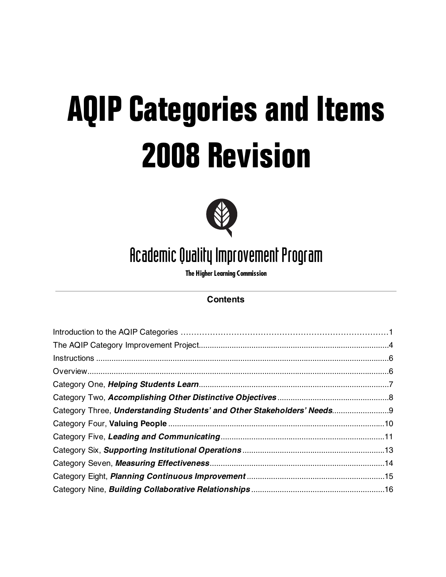# **AQIP Categories and Items 2008 Revision**



# Academic Quality Improvement Program

**The Higher Learning Commission**

# **Contents**

| Category Three, Understanding Students' and Other Stakeholders' Needs9 |  |
|------------------------------------------------------------------------|--|
|                                                                        |  |
|                                                                        |  |
|                                                                        |  |
|                                                                        |  |
|                                                                        |  |
|                                                                        |  |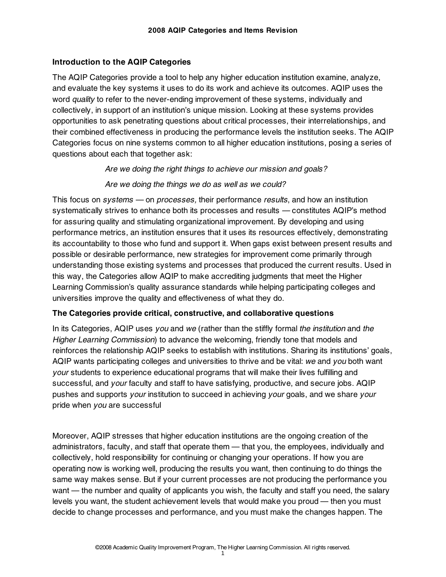#### **Introduction to the AQIP Categories**

The AQIP Categories provide a tool to help any higher education institution examine, analyze, and evaluate the key systems it uses to do its work and achieve its outcomes. AQIP uses the word *quality* to refer to the never-ending improvement of these systems, individually and collectively, in support of an institution's unique mission. Looking at these systems provides opportunities to ask penetrating questions about critical processes, their interrelationships, and their combined effectiveness in producing the performance levels the institution seeks. The AQIP Categories focus on nine systems common to all higher education institutions, posing a series of questions about each that together ask:

*Are we doing the right things to achieve our mission and goals?* 

#### *Are we doing the things we do as well as we could?*

This focus on *systems —* on *processes,* their performance *results*, and how an institution systematically strives to enhance both its processes and results *—* constitutes AQIP's method for assuring quality and stimulating organizational improvement. By developing and using performance metrics, an institution ensures that it uses its resources effectively, demonstrating its accountability to those who fund and support it. When gaps exist between present results and possible or desirable performance, new strategies for improvement come primarily through understanding those existing systems and processes that produced the current results. Used in this way, the Categories allow AQIP to make accrediting judgments that meet the Higher Learning Commission's quality assurance standards while helping participating colleges and universities improve the quality and effectiveness of what they do.

#### **The Categories provide critical, constructive, and collaborative questions**

In its Categories, AQIP uses *you* and *we* (rather than the stiffly formal *the institution* and *the Higher Learning Commission*) to advance the welcoming, friendly tone that models and reinforces the relationship AQIP seeks to establish with institutions. Sharing its institutions' goals, AQIP wants participating colleges and universities to thrive and be vital: *we* and *you* both want *your* students to experience educational programs that will make their lives fulfilling and successful, and *your* faculty and staff to have satisfying, productive, and secure jobs. AQIP pushes and supports *your* institution to succeed in achieving *your* goals, and we share *your* pride when *you* are successful

Moreover, AQIP stresses that higher education institutions are the ongoing creation of the administrators, faculty, and staff that operate them — that you*,* the employees, individually and collectively, hold responsibility for continuing or changing your operations. If how you are operating now is working well, producing the results you want, then continuing to do things the same way makes sense. But if your current processes are not producing the performance you want — the number and quality of applicants you wish, the faculty and staff you need, the salary levels you want, the student achievement levels that would make you proud — then you must decide to change processes and performance, and you must make the changes happen. The

1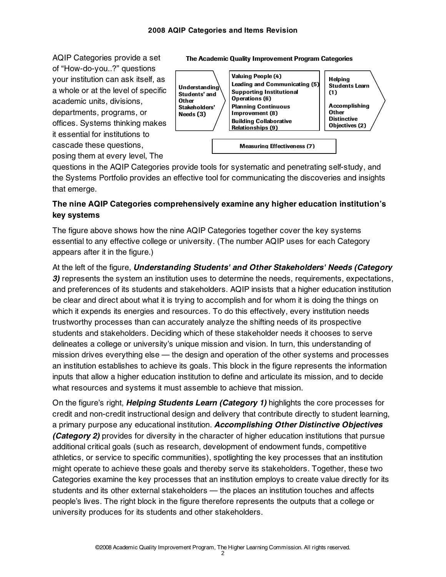of "How-do-you..?" questions your institution can ask itself, as a whole or at the level of specific academic units, divisions, departments, programs, or offices. Systems thinking makes it essential for institutions to cascade these questions, posing them at every level, The



AQIP Categories provide a set The Academic Quality Improvement Program Categories

questions in the AQIP Categories provide tools for systematic and penetrating self-study, and the Systems Portfolio provides an effective tool for communicating the discoveries and insights that emerge.

#### **The nine AQIP Categories comprehensively examine any higher education institution's key systems**

The figure above shows how the nine AQIP Categories together cover the key systems essential to any effective college or university. (The number AQIP uses for each Category appears after it in the figure.)

At the left of the figure, *Understanding Students' and Other Stakeholders' Needs (Category*  **3)** represents the system an institution uses to determine the needs, requirements, expectations, and preferences of its students and stakeholders. AQIP insists that a higher education institution be clear and direct about what it is trying to accomplish and for whom it is doing the things on which it expends its energies and resources. To do this effectively, every institution needs trustworthy processes than can accurately analyze the shifting needs of its prospective students and stakeholders. Deciding which of these stakeholder needs it chooses to serve delineates a college or university's unique mission and vision. In turn, this understanding of mission drives everything else — the design and operation of the other systems and processes an institution establishes to achieve its goals. This block in the figure represents the information inputs that allow a higher education institution to define and articulate its mission, and to decide what resources and systems it must assemble to achieve that mission.

On the figure's right, *Helping Students Learn (Category 1)* highlights the core processes for credit and non-credit instructional design and delivery that contribute directly to student learning, a primary purpose any educational institution. *Accomplishing Other Distinctive Objectives (Category 2)* provides for diversity in the character of higher education institutions that pursue additional critical goals (such as research, development of endowment funds, competitive athletics, or service to specific communities), spotlighting the key processes that an institution might operate to achieve these goals and thereby serve its stakeholders. Together, these two Categories examine the key processes that an institution employs to create value directly for its students and its other external stakeholders — the places an institution touches and affects people's lives. The right block in the figure therefore represents the outputs that a college or university produces for its students and other stakeholders.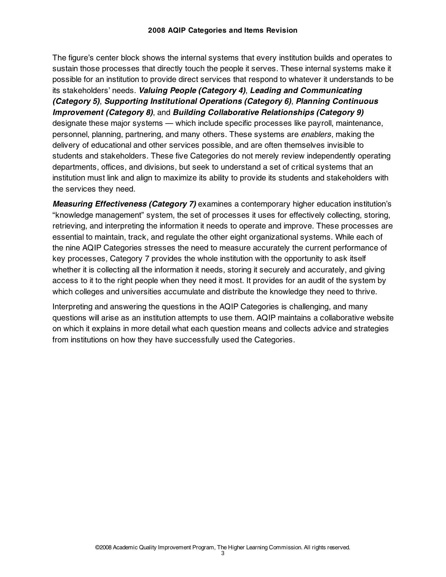The figure's center block shows the internal systems that every institution builds and operates to sustain those processes that directly touch the people it serves. These internal systems make it possible for an institution to provide direct services that respond to whatever it understands to be its stakeholders' needs. *Valuing People (Category 4)*, *Leading and Communicating (Category 5)*, *Supporting Institutional Operations (Category 6)*, *Planning Continuous Improvement (Category 8)*, and *Building Collaborative Relationships (Category 9)* designate these major systems — which include specific processes like payroll, maintenance, personnel, planning, partnering, and many others. These systems are *enablers*, making the delivery of educational and other services possible, and are often themselves invisible to students and stakeholders. These five Categories do not merely review independently operating departments, offices, and divisions, but seek to understand a set of critical systems that an institution must link and align to maximize its ability to provide its students and stakeholders with the services they need.

*Measuring Effectiveness (Category 7)* examines a contemporary higher education institution's "knowledge management" system, the set of processes it uses for effectively collecting, storing, retrieving, and interpreting the information it needs to operate and improve. These processes are essential to maintain, track, and regulate the other eight organizational systems. While each of the nine AQIP Categories stresses the need to measure accurately the current performance of key processes, Category 7 provides the whole institution with the opportunity to ask itself whether it is collecting all the information it needs, storing it securely and accurately, and giving access to it to the right people when they need it most. It provides for an audit of the system by which colleges and universities accumulate and distribute the knowledge they need to thrive.

Interpreting and answering the questions in the AQIP Categories is challenging, and many questions will arise as an institution attempts to use them. AQIP maintains a collaborative website on which it explains in more detail what each question means and collects advice and strategies from institutions on how they have successfully used the Categories.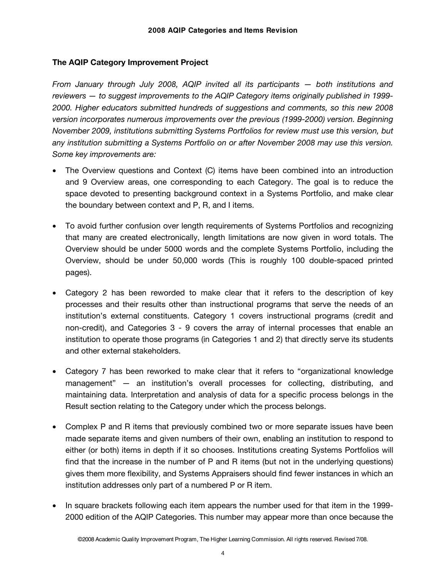#### **The AQIP Category Improvement Project**

*From January through July 2008, AQIP invited all its participants — both institutions and reviewers — to suggest improvements to the AQIP Category items originally published in 1999- 2000. Higher educators submitted hundreds of suggestions and comments, so this new 2008 version incorporates numerous improvements over the previous (1999-2000) version. Beginning November 2009, institutions submitting Systems Portfolios for review must use this version, but any institution submitting a Systems Portfolio on or after November 2008 may use this version. Some key improvements are:* 

- The Overview questions and Context (C) items have been combined into an introduction and 9 Overview areas, one corresponding to each Category. The goal is to reduce the space devoted to presenting background context in a Systems Portfolio, and make clear the boundary between context and P, R, and I items.
- To avoid further confusion over length requirements of Systems Portfolios and recognizing that many are created electronically, length limitations are now given in word totals. The Overview should be under 5000 words and the complete Systems Portfolio, including the Overview, should be under 50,000 words (This is roughly 100 double-spaced printed pages).
- Category 2 has been reworded to make clear that it refers to the description of key processes and their results other than instructional programs that serve the needs of an institution's external constituents. Category 1 covers instructional programs (credit and non-credit), and Categories 3 - 9 covers the array of internal processes that enable an institution to operate those programs (in Categories 1 and 2) that directly serve its students and other external stakeholders.
- Category 7 has been reworked to make clear that it refers to "organizational knowledge management" — an institution's overall processes for collecting, distributing, and maintaining data. Interpretation and analysis of data for a specific process belongs in the Result section relating to the Category under which the process belongs.
- Complex P and R items that previously combined two or more separate issues have been made separate items and given numbers of their own, enabling an institution to respond to either (or both) items in depth if it so chooses. Institutions creating Systems Portfolios will find that the increase in the number of P and R items (but not in the underlying questions) gives them more flexibility, and Systems Appraisers should find fewer instances in which an institution addresses only part of a numbered P or R item.
- In square brackets following each item appears the number used for that item in the 1999- 2000 edition of the AQIP Categories. This number may appear more than once because the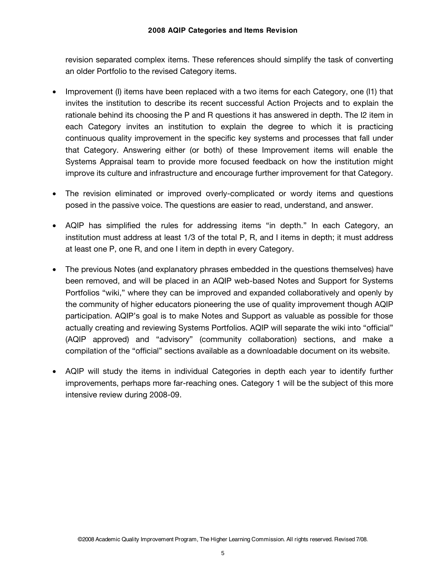revision separated complex items. These references should simplify the task of converting an older Portfolio to the revised Category items.

- Improvement (I) items have been replaced with a two items for each Category, one (I1) that invites the institution to describe its recent successful Action Projects and to explain the rationale behind its choosing the P and R questions it has answered in depth. The I2 item in each Category invites an institution to explain the degree to which it is practicing continuous quality improvement in the specific key systems and processes that fall under that Category. Answering either (or both) of these Improvement items will enable the Systems Appraisal team to provide more focused feedback on how the institution might improve its culture and infrastructure and encourage further improvement for that Category.
- The revision eliminated or improved overly-complicated or wordy items and questions posed in the passive voice. The questions are easier to read, understand, and answer.
- AQIP has simplified the rules for addressing items "in depth." In each Category, an institution must address at least 1/3 of the total P, R, and I items in depth; it must address at least one P, one R, and one I item in depth in every Category.
- The previous Notes (and explanatory phrases embedded in the questions themselves) have been removed, and will be placed in an AQIP web-based Notes and Support for Systems Portfolios "wiki," where they can be improved and expanded collaboratively and openly by the community of higher educators pioneering the use of quality improvement though AQIP participation. AQIP's goal is to make Notes and Support as valuable as possible for those actually creating and reviewing Systems Portfolios. AQIP will separate the wiki into "official" (AQIP approved) and "advisory" (community collaboration) sections, and make a compilation of the "official" sections available as a downloadable document on its website.
- AQIP will study the items in individual Categories in depth each year to identify further improvements, perhaps more far-reaching ones. Category 1 will be the subject of this more intensive review during 2008-09.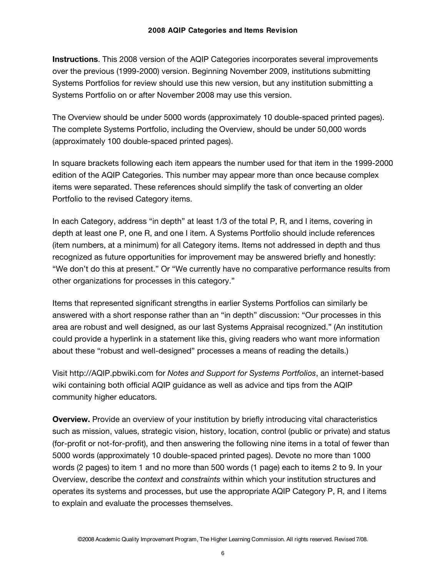**Instructions**. This 2008 version of the AQIP Categories incorporates several improvements over the previous (1999-2000) version. Beginning November 2009, institutions submitting Systems Portfolios for review should use this new version, but any institution submitting a Systems Portfolio on or after November 2008 may use this version.

The Overview should be under 5000 words (approximately 10 double-spaced printed pages). The complete Systems Portfolio, including the Overview, should be under 50,000 words (approximately 100 double-spaced printed pages).

In square brackets following each item appears the number used for that item in the 1999-2000 edition of the AQIP Categories. This number may appear more than once because complex items were separated. These references should simplify the task of converting an older Portfolio to the revised Category items.

In each Category, address "in depth" at least 1/3 of the total P, R, and I items, covering in depth at least one P, one R, and one I item. A Systems Portfolio should include references (item numbers, at a minimum) for all Category items. Items not addressed in depth and thus recognized as future opportunities for improvement may be answered briefly and honestly: "We don't do this at present." Or "We currently have no comparative performance results from other organizations for processes in this category."

Items that represented significant strengths in earlier Systems Portfolios can similarly be answered with a short response rather than an "in depth" discussion: "Our processes in this area are robust and well designed, as our last Systems Appraisal recognized." (An institution could provide a hyperlink in a statement like this, giving readers who want more information about these "robust and well-designed" processes a means of reading the details.)

Visit http://AQIP.pbwiki.com for *Notes and Support for Systems Portfolios*, an internet-based wiki containing both official AQIP guidance as well as advice and tips from the AQIP community higher educators.

**Overview.** Provide an overview of your institution by briefly introducing vital characteristics such as mission, values, strategic vision, history, location, control (public or private) and status (for-profit or not-for-profit), and then answering the following nine items in a total of fewer than 5000 words (approximately 10 double-spaced printed pages). Devote no more than 1000 words (2 pages) to item 1 and no more than 500 words (1 page) each to items 2 to 9. In your Overview, describe the *context* and *constraints* within which your institution structures and operates its systems and processes, but use the appropriate AQIP Category P, R, and I items to explain and evaluate the processes themselves.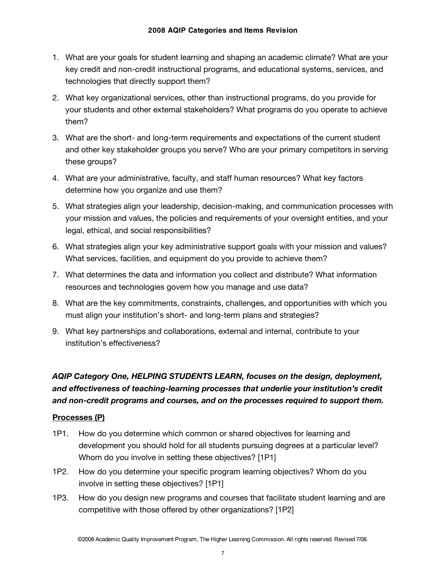- 1. What are your goals for student learning and shaping an academic climate? What are your key credit and non-credit instructional programs, and educational systems, services, and technologies that directly support them?
- 2. What key organizational services, other than instructional programs, do you provide for your students and other external stakeholders? What programs do you operate to achieve them?
- 3. What are the short- and long-term requirements and expectations of the current student and other key stakeholder groups you serve? Who are your primary competitors in serving these groups?
- 4. What are your administrative, faculty, and staff human resources? What key factors determine how you organize and use them?
- 5. What strategies align your leadership, decision-making, and communication processes with your mission and values, the policies and requirements of your oversight entities, and your legal, ethical, and social responsibilities?
- 6. What strategies align your key administrative support goals with your mission and values? What services, facilities, and equipment do you provide to achieve them?
- 7. What determines the data and information you collect and distribute? What information resources and technologies govern how you manage and use data?
- 8. What are the key commitments, constraints, challenges, and opportunities with which you must align your institution's short- and long-term plans and strategies?
- 9. What key partnerships and collaborations, external and internal, contribute to your institution's effectiveness?

### *AQIP Category One, HELPING STUDENTS LEARN, focuses on the design, deployment, and effectiveness of teaching-learning processes that underlie your institution's credit and non-credit programs and courses, and on the processes required to support them.*

#### **Processes (P)**

- 1P1. How do you determine which common or shared objectives for learning and development you should hold for all students pursuing degrees at a particular level? Whom do you involve in setting these objectives? [1P1]
- 1P2. How do you determine your specific program learning objectives? Whom do you involve in setting these objectives? [1P1]
- 1P3. How do you design new programs and courses that facilitate student learning and are competitive with those offered by other organizations? [1P2]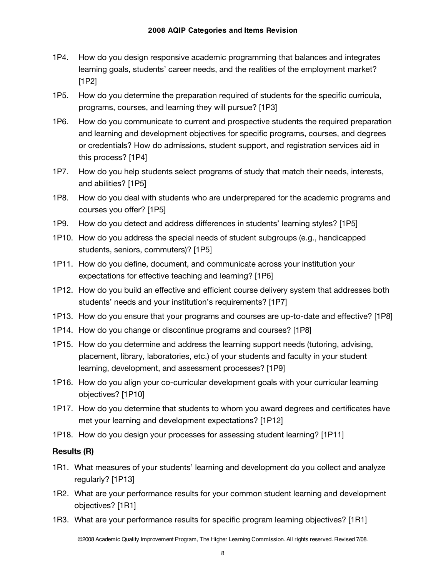- 1P4. How do you design responsive academic programming that balances and integrates learning goals, students' career needs, and the realities of the employment market? [1P2]
- 1P5. How do you determine the preparation required of students for the specific curricula, programs, courses, and learning they will pursue? [1P3]
- 1P6. How do you communicate to current and prospective students the required preparation and learning and development objectives for specific programs, courses, and degrees or credentials? How do admissions, student support, and registration services aid in this process? [1P4]
- 1P7. How do you help students select programs of study that match their needs, interests, and abilities? [1P5]
- 1P8. How do you deal with students who are underprepared for the academic programs and courses you offer? [1P5]
- 1P9. How do you detect and address differences in students' learning styles? [1P5]
- 1P10. How do you address the special needs of student subgroups (e.g., handicapped students, seniors, commuters)? [1P5]
- 1P11. How do you define, document, and communicate across your institution your expectations for effective teaching and learning? [1P6]
- 1P12. How do you build an effective and efficient course delivery system that addresses both students' needs and your institution's requirements? [1P7]
- 1P13. How do you ensure that your programs and courses are up-to-date and effective? [1P8]
- 1P14. How do you change or discontinue programs and courses? [1P8]
- 1P15. How do you determine and address the learning support needs (tutoring, advising, placement, library, laboratories, etc.) of your students and faculty in your student learning, development, and assessment processes? [1P9]
- 1P16. How do you align your co-curricular development goals with your curricular learning objectives? [1P10]
- 1P17. How do you determine that students to whom you award degrees and certificates have met your learning and development expectations? [1P12]
- 1P18. How do you design your processes for assessing student learning? [1P11]

#### **Results (R)**

- 1R1. What measures of your students' learning and development do you collect and analyze regularly? [1P13]
- 1R2. What are your performance results for your common student learning and development objectives? [1R1]
- 1R3. What are your performance results for specific program learning objectives? [1R1]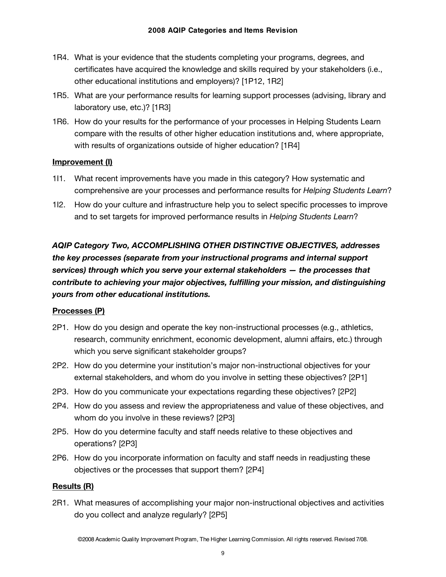- 1R4. What is your evidence that the students completing your programs, degrees, and certificates have acquired the knowledge and skills required by your stakeholders (i.e., other educational institutions and employers)? [1P12, 1R2]
- 1R5. What are your performance results for learning support processes (advising, library and laboratory use, etc.)? [1R3]
- 1R6. How do your results for the performance of your processes in Helping Students Learn compare with the results of other higher education institutions and, where appropriate, with results of organizations outside of higher education? [1R4]

#### **Improvement (I)**

- 1I1. What recent improvements have you made in this category? How systematic and comprehensive are your processes and performance results for *Helping Students Learn*?
- 1I2. How do your culture and infrastructure help you to select specific processes to improve and to set targets for improved performance results in *Helping Students Learn*?

*AQIP Category Two, ACCOMPLISHING OTHER DISTINCTIVE OBJECTIVES, addresses the key processes (separate from your instructional programs and internal support services) through which you serve your external stakeholders — the processes that contribute to achieving your major objectives, fulfilling your mission, and distinguishing yours from other educational institutions.* 

#### **Processes (P)**

- 2P1. How do you design and operate the key non-instructional processes (e.g., athletics, research, community enrichment, economic development, alumni affairs, etc.) through which you serve significant stakeholder groups?
- 2P2. How do you determine your institution's major non-instructional objectives for your external stakeholders, and whom do you involve in setting these objectives? [2P1]
- 2P3. How do you communicate your expectations regarding these objectives? [2P2]
- 2P4. How do you assess and review the appropriateness and value of these objectives, and whom do you involve in these reviews? [2P3]
- 2P5. How do you determine faculty and staff needs relative to these objectives and operations? [2P3]
- 2P6. How do you incorporate information on faculty and staff needs in readjusting these objectives or the processes that support them? [2P4]

#### **Results (R)**

2R1. What measures of accomplishing your major non-instructional objectives and activities do you collect and analyze regularly? [2P5]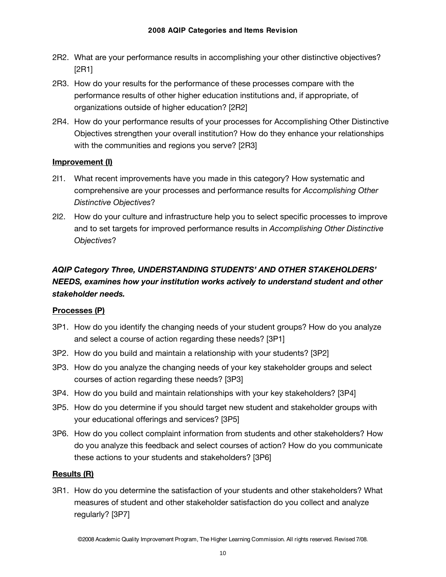- 2R2. What are your performance results in accomplishing your other distinctive objectives? [2R1]
- 2R3. How do your results for the performance of these processes compare with the performance results of other higher education institutions and, if appropriate, of organizations outside of higher education? [2R2]
- 2R4. How do your performance results of your processes for Accomplishing Other Distinctive Objectives strengthen your overall institution? How do they enhance your relationships with the communities and regions you serve? [2R3]

#### **Improvement (I)**

- 2I1. What recent improvements have you made in this category? How systematic and comprehensive are your processes and performance results for *Accomplishing Other Distinctive Objectives*?
- 2I2. How do your culture and infrastructure help you to select specific processes to improve and to set targets for improved performance results in *Accomplishing Other Distinctive Objectives*?

# *AQIP Category Three, UNDERSTANDING STUDENTS' AND OTHER STAKEHOLDERS' NEEDS, examines how your institution works actively to understand student and other stakeholder needs.*

#### **Processes (P)**

- 3P1. How do you identify the changing needs of your student groups? How do you analyze and select a course of action regarding these needs? [3P1]
- 3P2. How do you build and maintain a relationship with your students? [3P2]
- 3P3. How do you analyze the changing needs of your key stakeholder groups and select courses of action regarding these needs? [3P3]
- 3P4. How do you build and maintain relationships with your key stakeholders? [3P4]
- 3P5. How do you determine if you should target new student and stakeholder groups with your educational offerings and services? [3P5]
- 3P6. How do you collect complaint information from students and other stakeholders? How do you analyze this feedback and select courses of action? How do you communicate these actions to your students and stakeholders? [3P6]

#### **Results (R)**

3R1. How do you determine the satisfaction of your students and other stakeholders? What measures of student and other stakeholder satisfaction do you collect and analyze regularly? [3P7]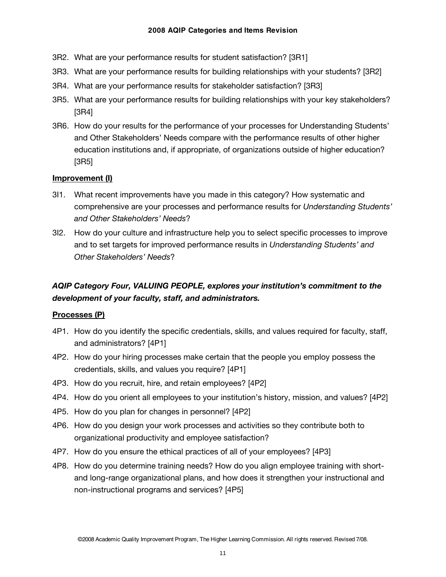- 3R2. What are your performance results for student satisfaction? [3R1]
- 3R3. What are your performance results for building relationships with your students? [3R2]
- 3R4. What are your performance results for stakeholder satisfaction? [3R3]
- 3R5. What are your performance results for building relationships with your key stakeholders? [3R4]
- 3R6. How do your results for the performance of your processes for Understanding Students' and Other Stakeholders' Needs compare with the performance results of other higher education institutions and, if appropriate, of organizations outside of higher education? [3R5]

#### **Improvement (I)**

- 3I1. What recent improvements have you made in this category? How systematic and comprehensive are your processes and performance results for *Understanding Students' and Other Stakeholders' Needs*?
- 3I2. How do your culture and infrastructure help you to select specific processes to improve and to set targets for improved performance results in *Understanding Students' and Other Stakeholders' Needs*?

# *AQIP Category Four, VALUING PEOPLE, explores your institution's commitment to the development of your faculty, staff, and administrators.*

#### **Processes (P)**

- 4P1. How do you identify the specific credentials, skills, and values required for faculty, staff, and administrators? [4P1]
- 4P2. How do your hiring processes make certain that the people you employ possess the credentials, skills, and values you require? [4P1]
- 4P3. How do you recruit, hire, and retain employees? [4P2]
- 4P4. How do you orient all employees to your institution's history, mission, and values? [4P2]
- 4P5. How do you plan for changes in personnel? [4P2]
- 4P6. How do you design your work processes and activities so they contribute both to organizational productivity and employee satisfaction?
- 4P7. How do you ensure the ethical practices of all of your employees? [4P3]
- 4P8. How do you determine training needs? How do you align employee training with shortand long-range organizational plans, and how does it strengthen your instructional and non-instructional programs and services? [4P5]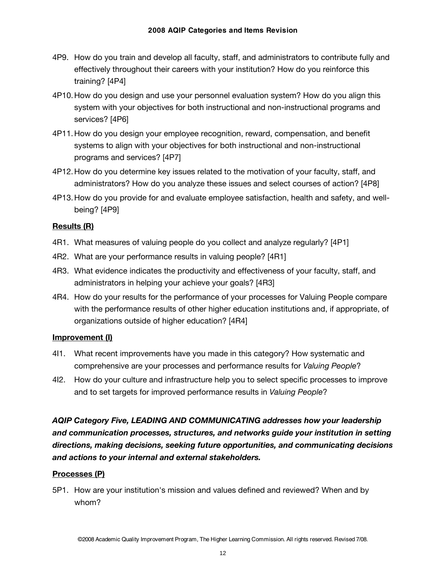- 4P9. How do you train and develop all faculty, staff, and administrators to contribute fully and effectively throughout their careers with your institution? How do you reinforce this training? [4P4]
- 4P10.How do you design and use your personnel evaluation system? How do you align this system with your objectives for both instructional and non-instructional programs and services? [4P6]
- 4P11.How do you design your employee recognition, reward, compensation, and benefit systems to align with your objectives for both instructional and non-instructional programs and services? [4P7]
- 4P12.How do you determine key issues related to the motivation of your faculty, staff, and administrators? How do you analyze these issues and select courses of action? [4P8]
- 4P13.How do you provide for and evaluate employee satisfaction, health and safety, and wellbeing? [4P9]

#### **Results (R)**

- 4R1. What measures of valuing people do you collect and analyze regularly? [4P1]
- 4R2. What are your performance results in valuing people? [4R1]
- 4R3. What evidence indicates the productivity and effectiveness of your faculty, staff, and administrators in helping your achieve your goals? [4R3]
- 4R4. How do your results for the performance of your processes for Valuing People compare with the performance results of other higher education institutions and, if appropriate, of organizations outside of higher education? [4R4]

#### **Improvement (I)**

- 4I1. What recent improvements have you made in this category? How systematic and comprehensive are your processes and performance results for *Valuing People*?
- 4I2. How do your culture and infrastructure help you to select specific processes to improve and to set targets for improved performance results in *Valuing People*?

*AQIP Category Five, LEADING AND COMMUNICATING addresses how your leadership and communication processes, structures, and networks guide your institution in setting directions, making decisions, seeking future opportunities, and communicating decisions and actions to your internal and external stakeholders.* 

#### **Processes (P)**

5P1. How are your institution's mission and values defined and reviewed? When and by whom?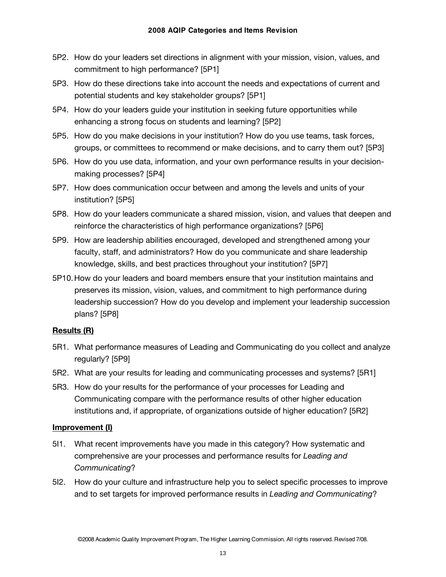- 5P2. How do your leaders set directions in alignment with your mission, vision, values, and commitment to high performance? [5P1]
- 5P3. How do these directions take into account the needs and expectations of current and potential students and key stakeholder groups? [5P1]
- 5P4. How do your leaders guide your institution in seeking future opportunities while enhancing a strong focus on students and learning? [5P2]
- 5P5. How do you make decisions in your institution? How do you use teams, task forces, groups, or committees to recommend or make decisions, and to carry them out? [5P3]
- 5P6. How do you use data, information, and your own performance results in your decisionmaking processes? [5P4]
- 5P7. How does communication occur between and among the levels and units of your institution? [5P5]
- 5P8. How do your leaders communicate a shared mission, vision, and values that deepen and reinforce the characteristics of high performance organizations? [5P6]
- 5P9. How are leadership abilities encouraged, developed and strengthened among your faculty, staff, and administrators? How do you communicate and share leadership knowledge, skills, and best practices throughout your institution? [5P7]
- 5P10.How do your leaders and board members ensure that your institution maintains and preserves its mission, vision, values, and commitment to high performance during leadership succession? How do you develop and implement your leadership succession plans? [5P8]

#### **Results (R)**

- 5R1. What performance measures of Leading and Communicating do you collect and analyze regularly? [5P9]
- 5R2. What are your results for leading and communicating processes and systems? [5R1]
- 5R3. How do your results for the performance of your processes for Leading and Communicating compare with the performance results of other higher education institutions and, if appropriate, of organizations outside of higher education? [5R2]

- 5I1. What recent improvements have you made in this category? How systematic and comprehensive are your processes and performance results for *Leading and Communicating*?
- 5I2. How do your culture and infrastructure help you to select specific processes to improve and to set targets for improved performance results in *Leading and Communicating*?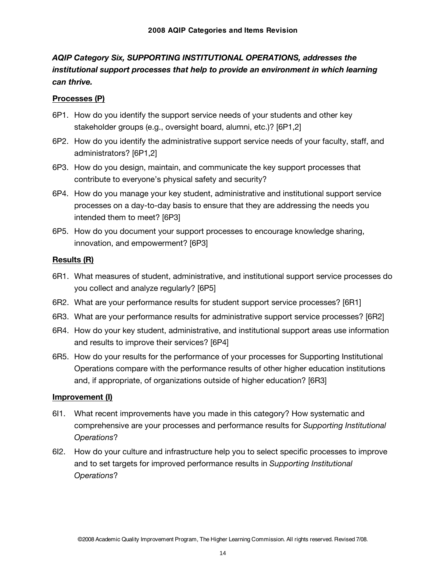# *AQIP Category Six, SUPPORTING INSTITUTIONAL OPERATIONS, addresses the institutional support processes that help to provide an environment in which learning can thrive.*

#### **Processes (P)**

- 6P1. How do you identify the support service needs of your students and other key stakeholder groups (e.g., oversight board, alumni, etc.)? [6P1,2]
- 6P2. How do you identify the administrative support service needs of your faculty, staff, and administrators? [6P1,2]
- 6P3. How do you design, maintain, and communicate the key support processes that contribute to everyone's physical safety and security?
- 6P4. How do you manage your key student, administrative and institutional support service processes on a day-to-day basis to ensure that they are addressing the needs you intended them to meet? [6P3]
- 6P5. How do you document your support processes to encourage knowledge sharing, innovation, and empowerment? [6P3]

#### **Results (R)**

- 6R1. What measures of student, administrative, and institutional support service processes do you collect and analyze regularly? [6P5]
- 6R2. What are your performance results for student support service processes? [6R1]
- 6R3. What are your performance results for administrative support service processes? [6R2]
- 6R4. How do your key student, administrative, and institutional support areas use information and results to improve their services? [6P4]
- 6R5. How do your results for the performance of your processes for Supporting Institutional Operations compare with the performance results of other higher education institutions and, if appropriate, of organizations outside of higher education? [6R3]

- 6I1. What recent improvements have you made in this category? How systematic and comprehensive are your processes and performance results for *Supporting Institutional Operations*?
- 6I2. How do your culture and infrastructure help you to select specific processes to improve and to set targets for improved performance results in *Supporting Institutional Operations*?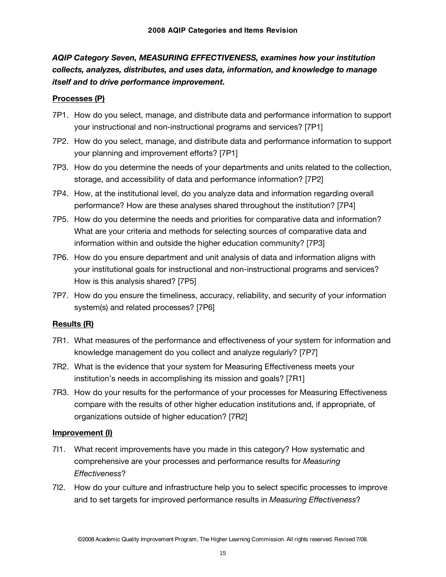# *AQIP Category Seven, MEASURING EFFECTIVENESS, examines how your institution collects, analyzes, distributes, and uses data, information, and knowledge to manage itself and to drive performance improvement.*

#### **Processes (P)**

- 7P1. How do you select, manage, and distribute data and performance information to support your instructional and non-instructional programs and services? [7P1]
- 7P2. How do you select, manage, and distribute data and performance information to support your planning and improvement efforts? [7P1]
- 7P3. How do you determine the needs of your departments and units related to the collection, storage, and accessibility of data and performance information? [7P2]
- 7P4. How, at the institutional level, do you analyze data and information regarding overall performance? How are these analyses shared throughout the institution? [7P4]
- 7P5. How do you determine the needs and priorities for comparative data and information? What are your criteria and methods for selecting sources of comparative data and information within and outside the higher education community? [7P3]
- 7P6. How do you ensure department and unit analysis of data and information aligns with your institutional goals for instructional and non-instructional programs and services? How is this analysis shared? [7P5]
- 7P7. How do you ensure the timeliness, accuracy, reliability, and security of your information system(s) and related processes? [7P6]

#### **Results (R)**

- 7R1. What measures of the performance and effectiveness of your system for information and knowledge management do you collect and analyze regularly? [7P7]
- 7R2. What is the evidence that your system for Measuring Effectiveness meets your institution's needs in accomplishing its mission and goals? [7R1]
- 7R3. How do your results for the performance of your processes for Measuring Effectiveness compare with the results of other higher education institutions and, if appropriate, of organizations outside of higher education? [7R2]

- 7I1. What recent improvements have you made in this category? How systematic and comprehensive are your processes and performance results for *Measuring Effectiveness*?
- 7I2. How do your culture and infrastructure help you to select specific processes to improve and to set targets for improved performance results in *Measuring Effectiveness*?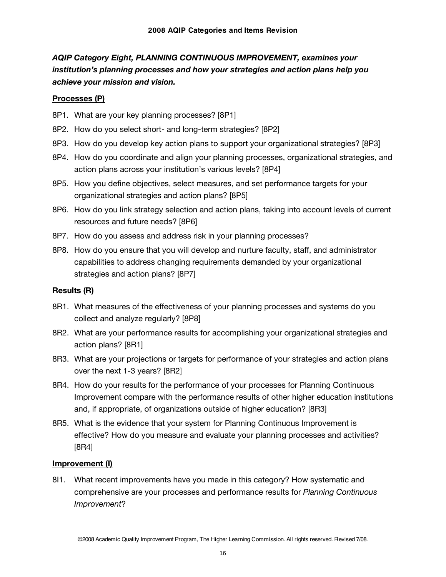# *AQIP Category Eight, PLANNING CONTINUOUS IMPROVEMENT, examines your institution's planning processes and how your strategies and action plans help you achieve your mission and vision.*

#### **Processes (P)**

- 8P1. What are your key planning processes? [8P1]
- 8P2. How do you select short- and long-term strategies? [8P2]
- 8P3. How do you develop key action plans to support your organizational strategies? [8P3]
- 8P4. How do you coordinate and align your planning processes, organizational strategies, and action plans across your institution's various levels? [8P4]
- 8P5. How you define objectives, select measures, and set performance targets for your organizational strategies and action plans? [8P5]
- 8P6. How do you link strategy selection and action plans, taking into account levels of current resources and future needs? [8P6]
- 8P7. How do you assess and address risk in your planning processes?
- 8P8. How do you ensure that you will develop and nurture faculty, staff, and administrator capabilities to address changing requirements demanded by your organizational strategies and action plans? [8P7]

#### **Results (R)**

- 8R1. What measures of the effectiveness of your planning processes and systems do you collect and analyze regularly? [8P8]
- 8R2. What are your performance results for accomplishing your organizational strategies and action plans? [8R1]
- 8R3. What are your projections or targets for performance of your strategies and action plans over the next 1-3 years? [8R2]
- 8R4. How do your results for the performance of your processes for Planning Continuous Improvement compare with the performance results of other higher education institutions and, if appropriate, of organizations outside of higher education? [8R3]
- 8R5. What is the evidence that your system for Planning Continuous Improvement is effective? How do you measure and evaluate your planning processes and activities? [8R4]

#### **Improvement (I)**

8I1. What recent improvements have you made in this category? How systematic and comprehensive are your processes and performance results for *Planning Continuous Improvement*?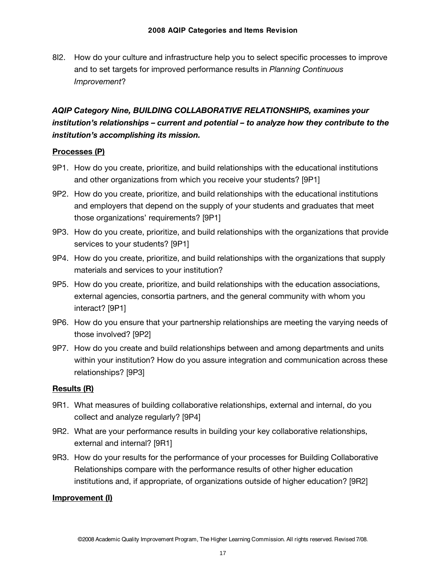8I2. How do your culture and infrastructure help you to select specific processes to improve and to set targets for improved performance results in *Planning Continuous Improvement*?

# *AQIP Category Nine, BUILDING COLLABORATIVE RELATIONSHIPS, examines your institution's relationships – current and potential – to analyze how they contribute to the institution's accomplishing its mission.*

#### **Processes (P)**

- 9P1. How do you create, prioritize, and build relationships with the educational institutions and other organizations from which you receive your students? [9P1]
- 9P2. How do you create, prioritize, and build relationships with the educational institutions and employers that depend on the supply of your students and graduates that meet those organizations' requirements? [9P1]
- 9P3. How do you create, prioritize, and build relationships with the organizations that provide services to your students? [9P1]
- 9P4. How do you create, prioritize, and build relationships with the organizations that supply materials and services to your institution?
- 9P5. How do you create, prioritize, and build relationships with the education associations, external agencies, consortia partners, and the general community with whom you interact? [9P1]
- 9P6. How do you ensure that your partnership relationships are meeting the varying needs of those involved? [9P2]
- 9P7. How do you create and build relationships between and among departments and units within your institution? How do you assure integration and communication across these relationships? [9P3]

#### **Results (R)**

- 9R1. What measures of building collaborative relationships, external and internal, do you collect and analyze regularly? [9P4]
- 9R2. What are your performance results in building your key collaborative relationships, external and internal? [9R1]
- 9R3. How do your results for the performance of your processes for Building Collaborative Relationships compare with the performance results of other higher education institutions and, if appropriate, of organizations outside of higher education? [9R2]